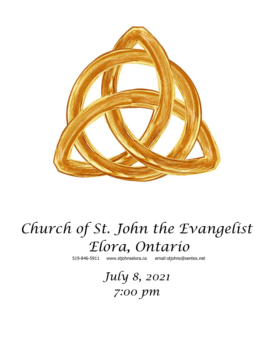

# *Church of St. John the Evangelist Elora, Ontario*

519-846-5911 [www.stjohnselora.ca email:stjohns@sentex.net](http://www.stjohnselora.ca%20%20%20%20%20%20email:stjohns@sentex.net)

*July 8, 2021 7:00 pm*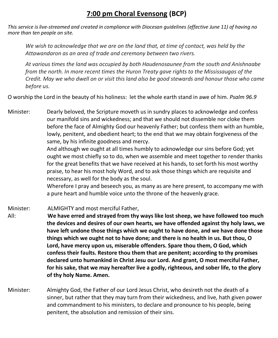## **7:00 pm Choral Evensong (BCP)**

*This service is live-streamed and created in compliance with Diocesan guidelines (effective June 11) of having no more than ten people on site.* 

*We wish to acknowledge that we are on the land that, at time of contact, was held by the Attawandaron as an area of trade and ceremony between two rivers.*

*At various times the land was occupied by both Haudenosaunee from the south and Anishnaabe from the north. In more recent times the Huron Treaty gave rights to the Mississaugas of the Credit. May we who dwell on or visit this land also be good stewards and honour those who came before us.*

O worship the Lord in the beauty of his holiness: let the whole earth stand in awe of him. *Psalm 96.9*

Minister: Dearly beloved, the Scripture moveth us in sundry places to acknowledge and confess our manifold sins and wickedness; and that we should not dissemble nor cloke them before the face of Almighty God our heavenly Father; but confess them with an humble, lowly, penitent, and obedient heart; to the end that we may obtain forgiveness of the same, by his infinite goodness and mercy.

> And although we ought at all times humbly to acknowledge our sins before God; yet ought we most chiefly so to do, when we assemble and meet together to render thanks for the great benefits that we have received at his hands, to set forth his most worthy praise, to hear his most holy Word, and to ask those things which are requisite and necessary, as well for the body as the soul.

> Wherefore I pray and beseech you, as many as are here present, to accompany me with a pure heart and humble voice unto the throne of the heavenly grace.

Minister: ALMIGHTY and most merciful Father, All: **We have erred and strayed from thy ways like lost sheep, we have followed too much the devices and desires of our own hearts, we have offended against thy holy laws, we have left undone those things which we ought to have done, and we have done those things which we ought not to have done; and there is no health in us. But thou, O Lord, have mercy upon us, miserable offenders. Spare thou them, O God, which confess their faults. Restore thou them that are penitent; according to thy promises declared unto humankind in Christ Jesu our Lord. And grant, O most merciful Father, for his sake, that we may hereafter live a godly, righteous, and sober life, to the glory of thy holy Name. Amen.**

Minister: Almighty God, the Father of our Lord Jesus Christ, who desireth not the death of a sinner, but rather that they may turn from their wickedness, and live, hath given power and commandment to his ministers, to declare and pronounce to his people, being penitent, the absolution and remission of their sins.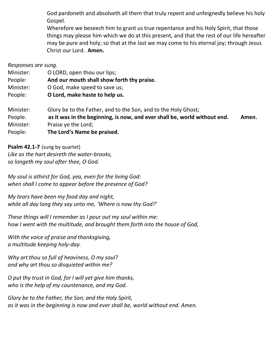God pardoneth and absolveth all them that truly repent and unfeignedly believe his holy Gospel.

Wherefore we beseech him to grant us true repentance and his Holy Spirit, that those things may please him which we do at this present, and that the rest of our life hereafter may be pure and holy; so that at the last we may come to his eternal joy; through Jesus Christ our Lord. **Amen.**

*Responses are sung.*

| Minister: | O LORD, open thou our lips;                                               |       |
|-----------|---------------------------------------------------------------------------|-------|
| People:   | And our mouth shall show forth thy praise.                                |       |
| Minister: | O God, make speed to save us;                                             |       |
| People:   | O Lord, make haste to help us.                                            |       |
| Minister: | Glory be to the Father, and to the Son, and to the Holy Ghost;            |       |
| People.   | as it was in the beginning, is now, and ever shall be, world without end. | Amen. |
| Minister: | Praise ye the Lord;                                                       |       |
| People:   | The Lord's Name be praised.                                               |       |

**Psalm 42.1-7** (sung by quartet) *Like as the hart desireth the water-brooks, so longeth my soul after thee, O God.*

*My soul is athirst for God, yea, even for the living God: when shall I come to appear before the presence of God?*

*My tears have been my food day and night, while all day long they say unto me, 'Where is now thy God?'*

*These things will I remember as I pour out my soul within me: how I went with the multitude, and brought them forth into the house of God,*

*With the voice of praise and thanksgiving, a multitude keeping holy-day.*

*Why art thou so full of heaviness, O my soul? and why art thou so disquieted within me?*

*O put thy trust in God, for I will yet give him thanks, who is the help of my countenance, and my God.*

*Glory be to the Father, the Son, and the Holy Spirit, as it was in the beginning is now and ever shall be, world without end. Amen.*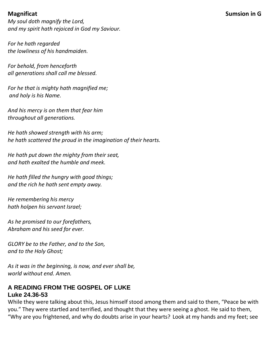*My soul doth magnify the Lord, and my spirit hath rejoiced in God my Saviour.* 

*For he hath regarded the lowliness of his handmaiden.* 

*For behold, from henceforth all generations shall call me blessed.* 

*For he that is mighty hath magnified me; and holy is his Name.* 

*And his mercy is on them that fear him throughout all generations.* 

*He hath showed strength with his arm; he hath scattered the proud in the imagination of their hearts.* 

*He hath put down the mighty from their seat, and hath exalted the humble and meek.* 

*He hath filled the hungry with good things; and the rich he hath sent empty away.* 

*He remembering his mercy hath holpen his servant Israel;* 

*As he promised to our forefathers, Abraham and his seed for ever.* 

*GLORY be to the Father, and to the Son, and to the Holy Ghost;* 

*As it was in the beginning, is now, and ever shall be, world without end. Amen.*

## **A READING FROM THE GOSPEL OF LUKE Luke 24.36-53**

While they were talking about this, Jesus himself stood among them and said to them, "Peace be with you." They were startled and terrified, and thought that they were seeing a ghost. He said to them, "Why are you frightened, and why do doubts arise in your hearts? Look at my hands and my feet; see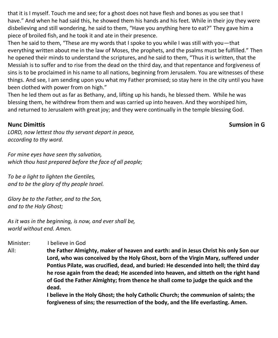that it is I myself. Touch me and see; for a ghost does not have flesh and bones as you see that I have." And when he had said this, he showed them his hands and his feet. While in their joy they were disbelieving and still wondering, he said to them, "Have you anything here to eat?" They gave him a piece of broiled fish, and he took it and ate in their presence.

Then he said to them, "These are my words that I spoke to you while I was still with you—that everything written about me in the law of Moses, the prophets, and the psalms must be fulfilled." Then he opened their minds to understand the scriptures, and he said to them, "Thus it is written, that the Messiah is to suffer and to rise from the dead on the third day, and that repentance and forgiveness of sins is to be proclaimed in his name to all nations, beginning from Jerusalem. You are witnesses of these things. And see, I am sending upon you what my Father promised; so stay here in the city until you have been clothed with power from on high."

Then he led them out as far as Bethany, and, lifting up his hands, he blessed them. While he was blessing them, he withdrew from them and was carried up into heaven. And they worshiped him, and returned to Jerusalem with great joy; and they were continually in the temple blessing God.

## **Nunc** Dimittis **Sumsion** in G

*LORD, now lettest thou thy servant depart in peace, according to thy word.* 

*For mine eyes have seen thy salvation, which thou hast prepared before the face of all people;* 

*To be a light to lighten the Gentiles, and to be the glory of thy people Israel.* 

*Glory be to the Father, and to the Son, and to the Holy Ghost;*

*As it was in the beginning, is now, and ever shall be, world without end. Amen.*

Minister: I believe in God

All: **the Father Almighty, maker of heaven and earth: and in Jesus Christ his only Son our Lord, who was conceived by the Holy Ghost, born of the Virgin Mary, suffered under Pontius Pilate, was crucified, dead, and buried: He descended into hell; the third day he rose again from the dead; He ascended into heaven, and sitteth on the right hand of God the Father Almighty; from thence he shall come to judge the quick and the dead.**

> **I believe in the Holy Ghost; the holy Catholic Church; the communion of saints; the forgiveness of sins; the resurrection of the body, and the life everlasting. Amen.**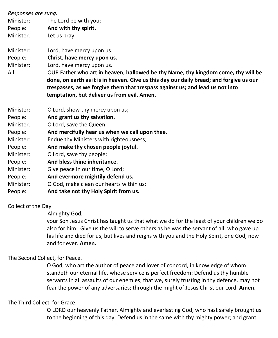| Responses are sung. |                                                                                                                                                                                                                                                                                                              |
|---------------------|--------------------------------------------------------------------------------------------------------------------------------------------------------------------------------------------------------------------------------------------------------------------------------------------------------------|
| Minister:           | The Lord be with you;                                                                                                                                                                                                                                                                                        |
| People:             | And with thy spirit.                                                                                                                                                                                                                                                                                         |
| Minister.           | Let us pray.                                                                                                                                                                                                                                                                                                 |
| Minister:           | Lord, have mercy upon us.                                                                                                                                                                                                                                                                                    |
| People:             | Christ, have mercy upon us.                                                                                                                                                                                                                                                                                  |
| Minister:           | Lord, have mercy upon us.                                                                                                                                                                                                                                                                                    |
| All:                | OUR Father who art in heaven, hallowed be thy Name, thy kingdom come, thy will be<br>done, on earth as it is in heaven. Give us this day our daily bread; and forgive us our<br>trespasses, as we forgive them that trespass against us; and lead us not into<br>temptation, but deliver us from evil. Amen. |
| Minister:           | O Lord, show thy mercy upon us;                                                                                                                                                                                                                                                                              |
| People:             | And grant us thy salvation.                                                                                                                                                                                                                                                                                  |
| Minister:           | O Lord, save the Queen;                                                                                                                                                                                                                                                                                      |
| People:             | And mercifully hear us when we call upon thee.                                                                                                                                                                                                                                                               |
| Minister:           | Endue thy Ministers with righteousness;                                                                                                                                                                                                                                                                      |
| People:             | And make thy chosen people joyful.                                                                                                                                                                                                                                                                           |
| Minister:           | O Lord, save thy people;                                                                                                                                                                                                                                                                                     |
| People:             | And bless thine inheritance.                                                                                                                                                                                                                                                                                 |
| Minister:           | Give peace in our time, O Lord;                                                                                                                                                                                                                                                                              |
| People:             | And evermore mightily defend us.                                                                                                                                                                                                                                                                             |
| Minister:           | O God, make clean our hearts within us;                                                                                                                                                                                                                                                                      |
| People:             | And take not thy Holy Spirit from us.                                                                                                                                                                                                                                                                        |

Collect of the Day

Almighty God,

your Son Jesus Christ has taught us that what we do for the least of your children we do also for him. Give us the will to serve others as he was the servant of all, who gave up his life and died for us, but lives and reigns with you and the Holy Spirit, one God, now and for ever. **Amen.**

The Second Collect, for Peace.

O God, who art the author of peace and lover of concord, in knowledge of whom standeth our eternal life, whose service is perfect freedom: Defend us thy humble servants in all assaults of our enemies; that we, surely trusting in thy defence, may not fear the power of any adversaries; through the might of Jesus Christ our Lord. **Amen.**

The Third Collect, for Grace.

O LORD our heavenly Father, Almighty and everlasting God, who hast safely brought us to the beginning of this day: Defend us in the same with thy mighty power; and grant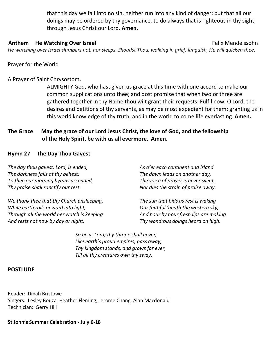that this day we fall into no sin, neither run into any kind of danger; but that all our doings may be ordered by thy governance, to do always that is righteous in thy sight; through Jesus Christ our Lord. **Amen.**

#### **Anthem He Watching Over Israel State Community Community Community Community Community Community Community Community Community Community Community Community Community Community Community Community Community Community Comm**

*He watching over Israel slumbers not, nor sleeps. Shoudst Thou, walking in grief, languish, He will quicken thee.*

Prayer for the World

#### A Prayer of Saint Chrysostom.

ALMIGHTY God, who hast given us grace at this time with one accord to make our common supplications unto thee; and dost promise that when two or three are gathered together in thy Name thou wilt grant their requests: Fulfil now, O Lord, the desires and petitions of thy servants, as may be most expedient for them; granting us in this world knowledge of thy truth, and in the world to come life everlasting. **Amen.**

#### **The Grace May the grace of our Lord Jesus Christ, the love of God, and the fellowship of the Holy Spirit, be with us all evermore. Amen.**

#### **Hymn 27 The Day Thou Gavest**

| The day thou gavest, Lord, is ended, | As o'er each continent and island    |
|--------------------------------------|--------------------------------------|
| The darkness falls at thy behest;    | The dawn leads on another day,       |
| To thee our morning hymns ascended,  | The voice of prayer is never silent, |
| Thy praise shall sanctify our rest.  | Nor dies the strain of praise away.  |
|                                      |                                      |

*We thank thee that thy Church unsleeping, While earth rolls onward into light, Through all the world her watch is keeping And rests not now by day or night.*

*The sun that bids us rest is waking Our faithful 'neath the western sky, And hour by hour fresh lips are making Thy wondrous doings heard on high.*

*So be it, Lord; thy throne shall never, Like earth's proud empires, pass away; Thy kingdom stands, and grows for ever, Till all thy creatures own thy sway.*

#### **POSTLUDE**

Reader: Dinah Bristowe Singers: Lesley Bouza, Heather Fleming, Jerome Chang, Alan Macdonald Technician: Gerry Hill

**St John's Summer Celebration - July 6-18**